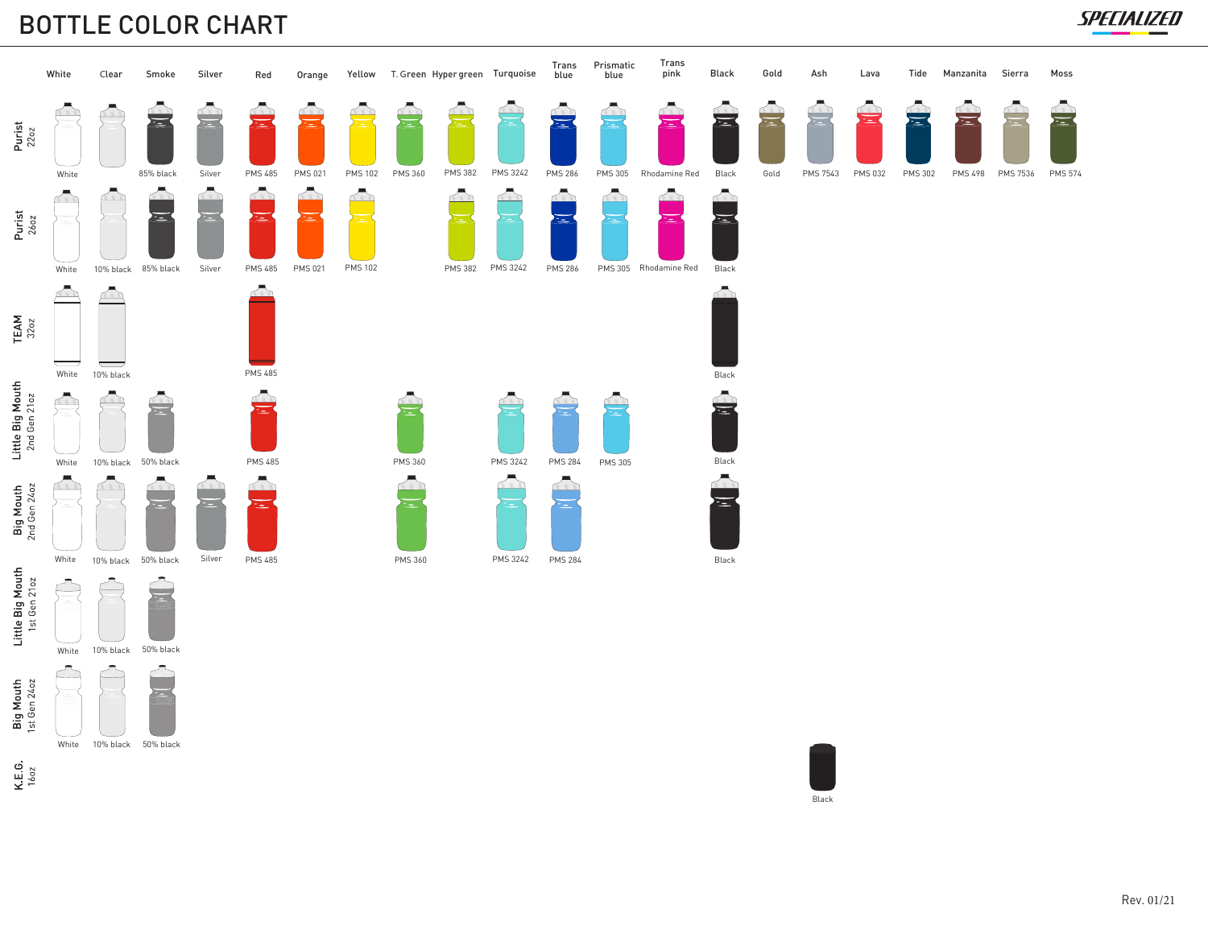## BOTTLE COLOR CHART





White 10% black 50% black

 $K.E.G$ <br>1602



SPECIALIZED